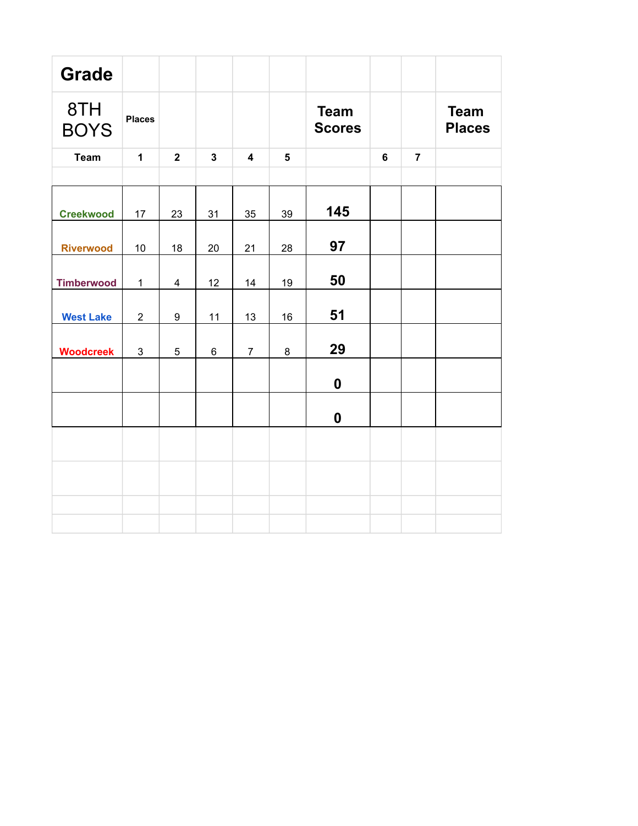| <b>Grade</b>       |                |                  |                |                         |                |                              |                |                |                              |
|--------------------|----------------|------------------|----------------|-------------------------|----------------|------------------------------|----------------|----------------|------------------------------|
| 8TH<br><b>BOYS</b> | <b>Places</b>  |                  |                |                         |                | <b>Team</b><br><b>Scores</b> |                |                | <b>Team</b><br><b>Places</b> |
| <b>Team</b>        | $\mathbf{1}$   | $\overline{2}$   | $\mathbf{3}$   | $\overline{\mathbf{4}}$ | $5\phantom{1}$ |                              | $6\phantom{a}$ | $\overline{7}$ |                              |
|                    |                |                  |                |                         |                |                              |                |                |                              |
| <b>Creekwood</b>   | 17             | 23               | 31             | 35                      | 39             | 145                          |                |                |                              |
| <b>Riverwood</b>   | 10             | 18               | 20             | 21                      | 28             | 97                           |                |                |                              |
| <b>Timberwood</b>  | $\mathbf 1$    | $\overline{4}$   | 12             | 14                      | 19             | 50                           |                |                |                              |
| <b>West Lake</b>   | $\overline{2}$ | $\boldsymbol{9}$ | 11             | 13                      | 16             | 51                           |                |                |                              |
| <b>Woodcreek</b>   | 3              | 5                | $6\phantom{1}$ | $\overline{7}$          | 8              | 29                           |                |                |                              |
|                    |                |                  |                |                         |                | $\boldsymbol{0}$             |                |                |                              |
|                    |                |                  |                |                         |                | $\boldsymbol{0}$             |                |                |                              |
|                    |                |                  |                |                         |                |                              |                |                |                              |
|                    |                |                  |                |                         |                |                              |                |                |                              |
|                    |                |                  |                |                         |                |                              |                |                |                              |
|                    |                |                  |                |                         |                |                              |                |                |                              |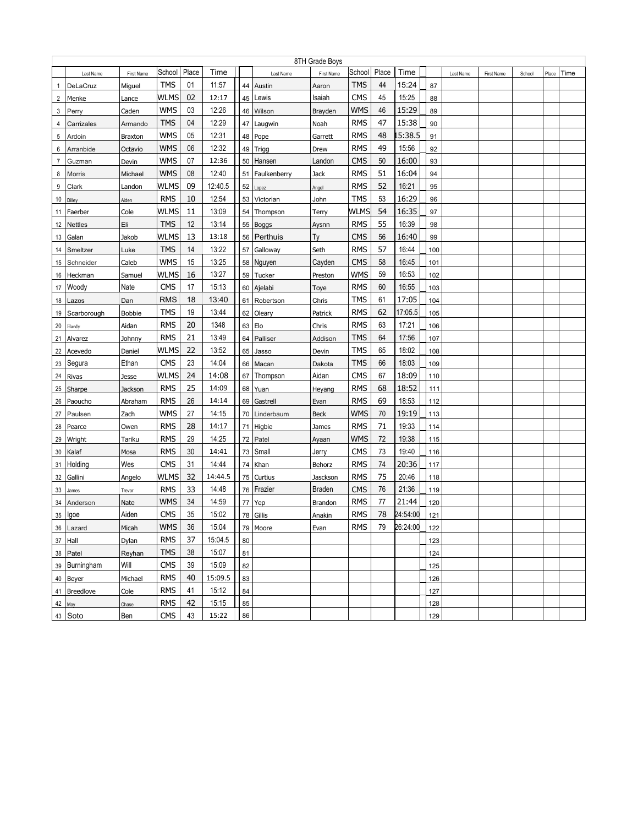| 8TH Grade Boys |                |                |             |       |         |    |              |               |            |       |          |     |           |            |        |       |      |
|----------------|----------------|----------------|-------------|-------|---------|----|--------------|---------------|------------|-------|----------|-----|-----------|------------|--------|-------|------|
|                | Last Name      | First Name     | School      | Place | Time    |    | Last Name    | First Name    | School     | Place | Time     |     | Last Name | First Name | School | Place | Time |
| 1              | DeLaCruz       | Miguel         | <b>TMS</b>  | 01    | 11:57   | 44 | Austin       | Aaron         | TMS        | 44    | 15:24    | 87  |           |            |        |       |      |
| $\overline{2}$ | Menke          | Lance          | WLMS        | 02    | 12:17   | 45 | Lewis        | Isaiah        | <b>CMS</b> | 45    | 15:25    | 88  |           |            |        |       |      |
| 3              | Perry          | Caden          | WMS         | 03    | 12:26   | 46 | Wilson       | Brayden       | <b>WMS</b> | 46    | 15:29    | 89  |           |            |        |       |      |
| 4              | Carrizales     | Armando        | <b>TMS</b>  | 04    | 12:29   | 47 | Laugwin      | Noah          | <b>RMS</b> | 47    | 15:38    | 90  |           |            |        |       |      |
| 5              | Ardoin         | <b>Braxton</b> | WMS         | 05    | 12:31   | 48 | Pope         | Garrett       | <b>RMS</b> | 48    | 15:38.5  | 91  |           |            |        |       |      |
| 6              | Arranbide      | Octavio        | <b>WMS</b>  | 06    | 12:32   | 49 | Trigg        | Drew          | <b>RMS</b> | 49    | 15:56    | 92  |           |            |        |       |      |
| 7              | Guzman         | Devin          | WMS         | 07    | 12:36   | 50 | Hansen       | Landon        | <b>CMS</b> | 50    | 16:00    | 93  |           |            |        |       |      |
| 8              | Morris         | Michael        | WMS         | 08    | 12:40   | 51 | Faulkenberry | Jack          | <b>RMS</b> | 51    | 16:04    | 94  |           |            |        |       |      |
| 9              | Clark          | Landon         | WLMS        | 09    | 12:40.5 | 52 | Lopez        | Angel         | <b>RMS</b> | 52    | 16:21    | 95  |           |            |        |       |      |
| 10             | Dilley         | Aiden          | <b>RMS</b>  | 10    | 12:54   | 53 | Victorian    | John          | <b>TMS</b> | 53    | 16:29    | 96  |           |            |        |       |      |
| 11             | Faerber        | Cole           | WLMS        | 11    | 13:09   | 54 | Thompson     | Terry         | WLMS       | 54    | 16:35    | 97  |           |            |        |       |      |
| 12             | <b>Nettles</b> | Eli            | <b>TMS</b>  | 12    | 13:14   | 55 | <b>Boggs</b> | Aysnn         | <b>RMS</b> | 55    | 16:39    | 98  |           |            |        |       |      |
| 13             | Galan          | Jakob          | <b>WLMS</b> | 13    | 13:18   | 56 | Perthuis     | Тy            | <b>CMS</b> | 56    | 16:40    | 99  |           |            |        |       |      |
| 14             | Smeltzer       | Luke           | <b>TMS</b>  | 14    | 13:22   | 57 | Galloway     | Seth          | <b>RMS</b> | 57    | 16:44    | 100 |           |            |        |       |      |
| 15             | Schneider      | Caleb          | <b>WMS</b>  | 15    | 13:25   | 58 | Nguyen       | Cayden        | <b>CMS</b> | 58    | 16:45    | 101 |           |            |        |       |      |
| 16             | Heckman        | Samuel         | <b>WLMS</b> | 16    | 13:27   | 59 | Tucker       | Preston       | <b>WMS</b> | 59    | 16:53    | 102 |           |            |        |       |      |
| 17             | Woody          | Nate           | <b>CMS</b>  | 17    | 15:13   | 60 | Ajelabi      | Toye          | <b>RMS</b> | 60    | 16:55    | 103 |           |            |        |       |      |
| 18             | Lazos          | Dan            | <b>RMS</b>  | 18    | 13:40   | 61 | Robertson    | Chris         | <b>TMS</b> | 61    | 17:05    | 104 |           |            |        |       |      |
| 19             | Scarborough    | <b>Bobbie</b>  | <b>TMS</b>  | 19    | 13;44   | 62 | Oleary       | Patrick       | <b>RMS</b> | 62    | 17:05.5  | 105 |           |            |        |       |      |
| 20             | Hardy          | Aidan          | <b>RMS</b>  | 20    | 1348    | 63 | Elo          | Chris         | <b>RMS</b> | 63    | 17:21    | 106 |           |            |        |       |      |
| 21             | Alvarez        | Johnny         | <b>RMS</b>  | 21    | 13:49   | 64 | Palliser     | Addison       | <b>TMS</b> | 64    | 17:56    | 107 |           |            |        |       |      |
| 22             | Acevedo        | Daniel         | <b>WLMS</b> | 22    | 13:52   | 65 | Jasso        | Devin         | <b>TMS</b> | 65    | 18:02    | 108 |           |            |        |       |      |
| 23             | Segura         | Ethan          | <b>CMS</b>  | 23    | 14:04   | 66 | Macan        | Dakota        | <b>TMS</b> | 66    | 18:03    | 109 |           |            |        |       |      |
| 24             | Rivas          | Jesse          | WLMS        | 24    | 14:08   | 67 | Thompson     | Aidan         | <b>CMS</b> | 67    | 18:09    | 110 |           |            |        |       |      |
| 25             | Sharpe         | Jackson        | <b>RMS</b>  | 25    | 14:09   | 68 | Yuan         | Heyang        | <b>RMS</b> | 68    | 18:52    | 111 |           |            |        |       |      |
| 26             | Paoucho        | Abraham        | <b>RMS</b>  | 26    | 14:14   | 69 | Gastrell     | Evan          | <b>RMS</b> | 69    | 18:53    | 112 |           |            |        |       |      |
| 27             | Paulsen        | Zach           | <b>WMS</b>  | 27    | 14:15   | 70 | Linderbaum   | <b>Beck</b>   | <b>WMS</b> | 70    | 19:19    | 113 |           |            |        |       |      |
| 28             | Pearce         | Owen           | <b>RMS</b>  | 28    | 14:17   | 71 | Higbie       | James         | <b>RMS</b> | 71    | 19:33    | 114 |           |            |        |       |      |
| 29             | Wright         | Tariku         | <b>RMS</b>  | 29    | 14:25   | 72 | Patel        | Ayaan         | <b>WMS</b> | 72    | 19:38    | 115 |           |            |        |       |      |
| 30             | Kalaf          | Mosa           | <b>RMS</b>  | 30    | 14:41   | 73 | Small        | Jerry         | <b>CMS</b> | 73    | 19:40    | 116 |           |            |        |       |      |
| 31             | Holding        | Wes            | <b>CMS</b>  | 31    | 14:44   | 74 | Khan         | Behorz        | <b>RMS</b> | 74    | 20:36    | 117 |           |            |        |       |      |
| 32             | Gallini        | Angelo         | <b>WLMS</b> | 32    | 14:44.5 | 75 | Curtius      | Jasckson      | <b>RMS</b> | 75    | 20:46    | 118 |           |            |        |       |      |
| 33             | James          | Trevor         | <b>RMS</b>  | 33    | 14:48   |    | 76   Frazier | <b>Braden</b> | <b>CMS</b> | 76    | 21:36    | 119 |           |            |        |       |      |
| 34             | Anderson       | Nate           | <b>WMS</b>  | 34    | 14:59   | 77 | Yep          | Brandon       | <b>RMS</b> | 77    | 21:44    | 120 |           |            |        |       |      |
|                | $35$   $lgoe$  | Aiden          | <b>CMS</b>  | 35    | 15:02   | 78 | Gillis       | Anakin        | <b>RMS</b> | 78    | 24:54:00 | 121 |           |            |        |       |      |
|                | 36 Lazard      | Micah          | <b>WMS</b>  | 36    | 15:04   |    | 79   Moore   | Evan          | <b>RMS</b> | 79    | 26:24:00 | 122 |           |            |        |       |      |
|                | 37 Hall        | Dylan          | <b>RMS</b>  | 37    | 15:04.5 | 80 |              |               |            |       |          | 123 |           |            |        |       |      |
|                | 38 Patel       | Reyhan         | <b>TMS</b>  | 38    | 15:07   | 81 |              |               |            |       |          | 124 |           |            |        |       |      |
|                | 39 Burningham  | Will           | <b>CMS</b>  | 39    | 15:09   | 82 |              |               |            |       |          | 125 |           |            |        |       |      |
|                | 40 Beyer       | Michael        | <b>RMS</b>  | 40    | 15:09.5 | 83 |              |               |            |       |          | 126 |           |            |        |       |      |
|                | 41 Breedlove   | Cole           | <b>RMS</b>  | 41    | 15:12   | 84 |              |               |            |       |          | 127 |           |            |        |       |      |
|                |                |                | <b>RMS</b>  | 42    | 15:15   | 85 |              |               |            |       |          | 128 |           |            |        |       |      |
| $42$ May       | 43 Soto        | Chase<br>Ben   | <b>CMS</b>  | 43    | 15:22   | 86 |              |               |            |       |          | 129 |           |            |        |       |      |
|                |                |                |             |       |         |    |              |               |            |       |          |     |           |            |        |       |      |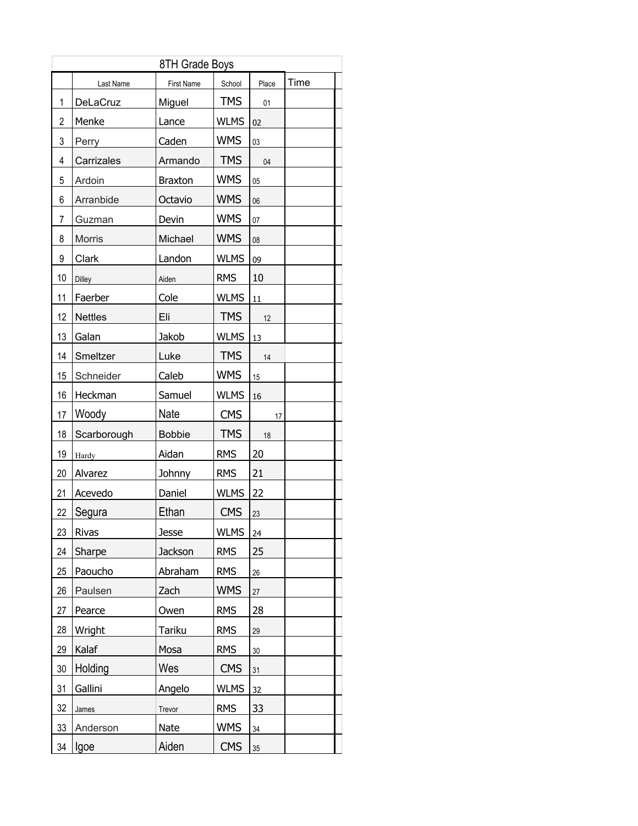| 8TH Grade Boys |                |                   |             |        |      |  |  |  |  |  |
|----------------|----------------|-------------------|-------------|--------|------|--|--|--|--|--|
|                | Last Name      | <b>First Name</b> | School      | Place  | Time |  |  |  |  |  |
| 1              | DeLaCruz       | Miguel            | <b>TMS</b>  | 01     |      |  |  |  |  |  |
| $\overline{2}$ | Menke          | Lance             | <b>WLMS</b> | 02     |      |  |  |  |  |  |
| 3              | Perry          | Caden             | <b>WMS</b>  | 03     |      |  |  |  |  |  |
| 4              | Carrizales     | Armando           | <b>TMS</b>  | 04     |      |  |  |  |  |  |
| 5              | Ardoin         | <b>Braxton</b>    | <b>WMS</b>  | 05     |      |  |  |  |  |  |
| 6              | Arranbide      | Octavio           | <b>WMS</b>  | 06     |      |  |  |  |  |  |
| 7              | Guzman         | Devin             | <b>WMS</b>  | 07     |      |  |  |  |  |  |
| 8              | Morris         | Michael           | <b>WMS</b>  | 08     |      |  |  |  |  |  |
| 9              | Clark          | Landon            | <b>WLMS</b> | 09     |      |  |  |  |  |  |
| 10             | Dilley         | Aiden             | <b>RMS</b>  | 10     |      |  |  |  |  |  |
| 11             | Faerber        | Cole              | <b>WLMS</b> | 11     |      |  |  |  |  |  |
| 12             | <b>Nettles</b> | Eli               | <b>TMS</b>  | 12     |      |  |  |  |  |  |
| 13             | Galan          | Jakob             | <b>WLMS</b> | 13     |      |  |  |  |  |  |
| 14             | Smeltzer       | Luke              | <b>TMS</b>  | 14     |      |  |  |  |  |  |
| 15             | Schneider      | Caleb             | <b>WMS</b>  | 15     |      |  |  |  |  |  |
| 16             | Heckman        | Samuel            | <b>WLMS</b> | 16     |      |  |  |  |  |  |
| 17             | Woody          | Nate              | <b>CMS</b>  | 17     |      |  |  |  |  |  |
| 18             | Scarborough    | <b>Bobbie</b>     | <b>TMS</b>  | 18     |      |  |  |  |  |  |
| 19             | Hardy          | Aidan             | <b>RMS</b>  | 20     |      |  |  |  |  |  |
| 20             | Alvarez        | Johnny            | <b>RMS</b>  | 21     |      |  |  |  |  |  |
| 21             | Acevedo        | Daniel            | <b>WLMS</b> | 22     |      |  |  |  |  |  |
| 22             | Segura         | Ethan             | <b>CMS</b>  | 23     |      |  |  |  |  |  |
| 23             | Rivas          | Jesse             | <b>WLMS</b> | 24     |      |  |  |  |  |  |
| 24             | Sharpe         | <b>Jackson</b>    | <b>RMS</b>  | 25     |      |  |  |  |  |  |
| 25             | Paoucho        | Abraham           | <b>RMS</b>  | 26     |      |  |  |  |  |  |
| 26             | Paulsen        | Zach              | <b>WMS</b>  | 27     |      |  |  |  |  |  |
| 27             | Pearce         | Owen              | <b>RMS</b>  | 28     |      |  |  |  |  |  |
| 28             | Wright         | <b>Tariku</b>     | <b>RMS</b>  | 29     |      |  |  |  |  |  |
| 29             | Kalaf          | Mosa              | <b>RMS</b>  | $30\,$ |      |  |  |  |  |  |
| 30             | Holding        | Wes               | <b>CMS</b>  | 31     |      |  |  |  |  |  |
| 31             | Gallini        | Angelo            | <b>WLMS</b> | 32     |      |  |  |  |  |  |
| 32             | James          | Trevor            | <b>RMS</b>  | 33     |      |  |  |  |  |  |
| 33             | Anderson       | Nate              | <b>WMS</b>  | 34     |      |  |  |  |  |  |
| 34             | Igoe           | Aiden             | <b>CMS</b>  | 35     |      |  |  |  |  |  |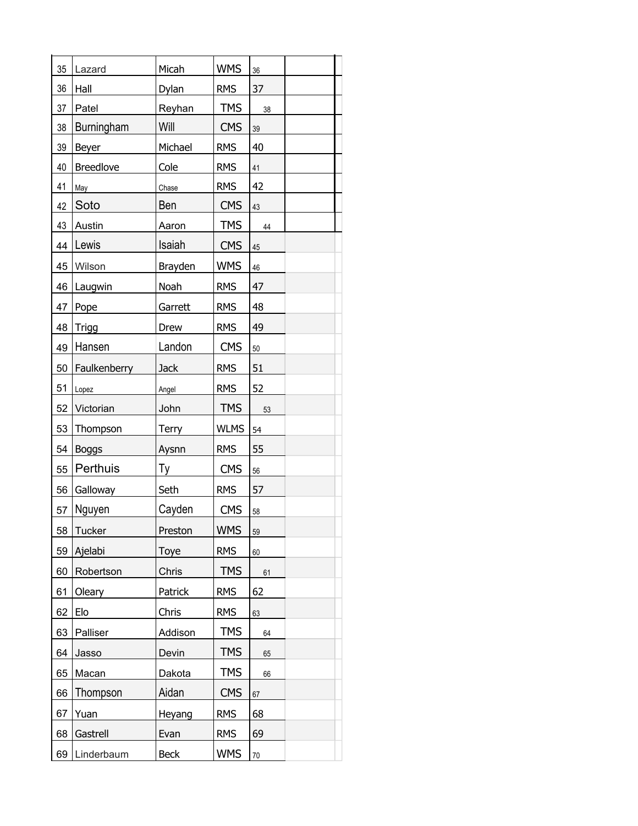| 35 | Lazard            | Micah        | <b>WMS</b>  | 36     |
|----|-------------------|--------------|-------------|--------|
| 36 | Hall              | <b>Dylan</b> | <b>RMS</b>  | 37     |
| 37 | Patel             | Reyhan       | <b>TMS</b>  | 38     |
| 38 | <b>Burningham</b> | Will         | <b>CMS</b>  | 39     |
| 39 | <b>Beyer</b>      | Michael      | <b>RMS</b>  | 40     |
| 40 | <b>Breedlove</b>  | Cole         | <b>RMS</b>  | 41     |
| 41 | May               | Chase        | <b>RMS</b>  | 42     |
| 42 | Soto              | Ben          | <b>CMS</b>  | 43     |
| 43 | Austin            | Aaron        | <b>TMS</b>  | 44     |
| 44 | Lewis             | Isaiah       | <b>CMS</b>  | 45     |
| 45 | Wilson            | Brayden      | <b>WMS</b>  | 46     |
| 46 | Laugwin           | Noah         | <b>RMS</b>  | 47     |
| 47 | Pope              | Garrett      | <b>RMS</b>  | 48     |
| 48 | <b>Trigg</b>      | Drew         | <b>RMS</b>  | 49     |
| 49 | Hansen            | Landon       | <b>CMS</b>  | 50     |
| 50 | Faulkenberry      | <b>Jack</b>  | <b>RMS</b>  | 51     |
| 51 | Lopez             | Angel        | <b>RMS</b>  | 52     |
| 52 | Victorian         | John         | <b>TMS</b>  | 53     |
| 53 | Thompson          | <b>Terry</b> | <b>WLMS</b> | 54     |
| 54 | <b>Boggs</b>      | Aysnn        | <b>RMS</b>  | 55     |
| 55 | Perthuis          | Ty           | <b>CMS</b>  | 56     |
| 56 | Galloway          | Seth         | <b>RMS</b>  | 57     |
| 57 | Nguyen            | Cayden       | <b>CMS</b>  | 58     |
| 58 | <b>Tucker</b>     | Preston      | <b>WMS</b>  | 59     |
| 59 | Ajelabi           | Toye         | <b>RMS</b>  | 60     |
| 60 | Robertson         | Chris        | <b>TMS</b>  | 61     |
| 61 | Oleary            | Patrick      | <b>RMS</b>  | 62     |
| 62 | Elo               | Chris        | <b>RMS</b>  | 63     |
| 63 | Palliser          | Addison      | <b>TMS</b>  | 64     |
| 64 | Jasso             | Devin        | <b>TMS</b>  | 65     |
| 65 | Macan             | Dakota       | <b>TMS</b>  | 66     |
| 66 | Thompson          | Aidan        | <b>CMS</b>  | 67     |
| 67 | Yuan              | Heyang       | <b>RMS</b>  | 68     |
| 68 | Gastrell          | Evan         | <b>RMS</b>  | 69     |
| 69 | Linderbaum        | <b>Beck</b>  | <b>WMS</b>  | $70\,$ |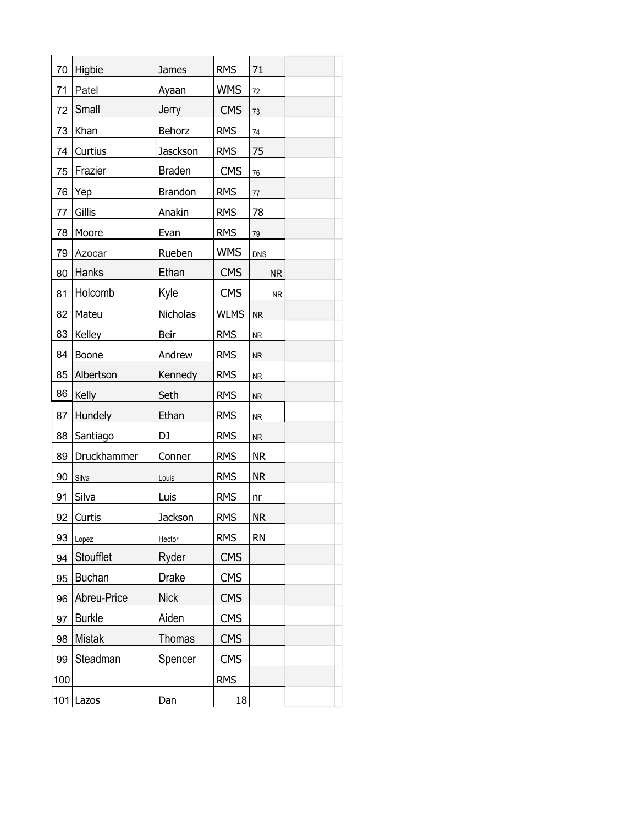| 70  | Higbie        | James          | <b>RMS</b>  | 71         |  |
|-----|---------------|----------------|-------------|------------|--|
| 71  | Patel         | Ayaan          | <b>WMS</b>  | 72         |  |
| 72  | Small         | Jerry          | <b>CMS</b>  | 73         |  |
| 73  | Khan          | Behorz         | <b>RMS</b>  | 74         |  |
| 74  | Curtius       | Jasckson       | <b>RMS</b>  | 75         |  |
| 75  | Frazier       | <b>Braden</b>  | <b>CMS</b>  | 76         |  |
| 76  | Yep           | <b>Brandon</b> | <b>RMS</b>  | $77 \,$    |  |
| 77  | Gillis        | Anakin         | <b>RMS</b>  | 78         |  |
| 78  | Moore         | Evan           | <b>RMS</b>  | 79         |  |
| 79  | Azocar        | Rueben         | <b>WMS</b>  | <b>DNS</b> |  |
| 80  | Hanks         | Ethan          | <b>CMS</b>  | <b>NR</b>  |  |
| 81  | Holcomb       | Kyle           | <b>CMS</b>  | <b>NR</b>  |  |
| 82  | Mateu         | Nicholas       | <b>WLMS</b> | ${\sf NR}$ |  |
| 83  | Kelley        | Beir           | <b>RMS</b>  | <b>NR</b>  |  |
| 84  | Boone         | Andrew         | <b>RMS</b>  | <b>NR</b>  |  |
| 85  | Albertson     | Kennedy        | <b>RMS</b>  | <b>NR</b>  |  |
| 86  | Kelly         | Seth           | <b>RMS</b>  | ${\sf NR}$ |  |
| 87  | Hundely       | Ethan          | <b>RMS</b>  | <b>NR</b>  |  |
| 88  | Santiago      | DJ             | <b>RMS</b>  | <b>NR</b>  |  |
| 89  | Druckhammer   | Conner         | <b>RMS</b>  | <b>NR</b>  |  |
| 90  | Silva         | Louis          | <b>RMS</b>  | <b>NR</b>  |  |
| 91  | Silva         | Luis           | <b>RMS</b>  | nr         |  |
| 92  | Curtis        | <b>Jackson</b> | <b>RMS</b>  | <b>NR</b>  |  |
| 93  | Lopez         | Hector         | <b>RMS</b>  | <b>RN</b>  |  |
| 94  | Stoufflet     | Ryder          | <b>CMS</b>  |            |  |
| 95  | <b>Buchan</b> | Drake          | <b>CMS</b>  |            |  |
| 96  | Abreu-Price   | <b>Nick</b>    | <b>CMS</b>  |            |  |
| 97  | <b>Burkle</b> | Aiden          | <b>CMS</b>  |            |  |
| 98  | <b>Mistak</b> | <b>Thomas</b>  | <b>CMS</b>  |            |  |
| 99  | Steadman      | Spencer        | <b>CMS</b>  |            |  |
| 100 |               |                | <b>RMS</b>  |            |  |
| 101 | Lazos         | Dan            | 18          |            |  |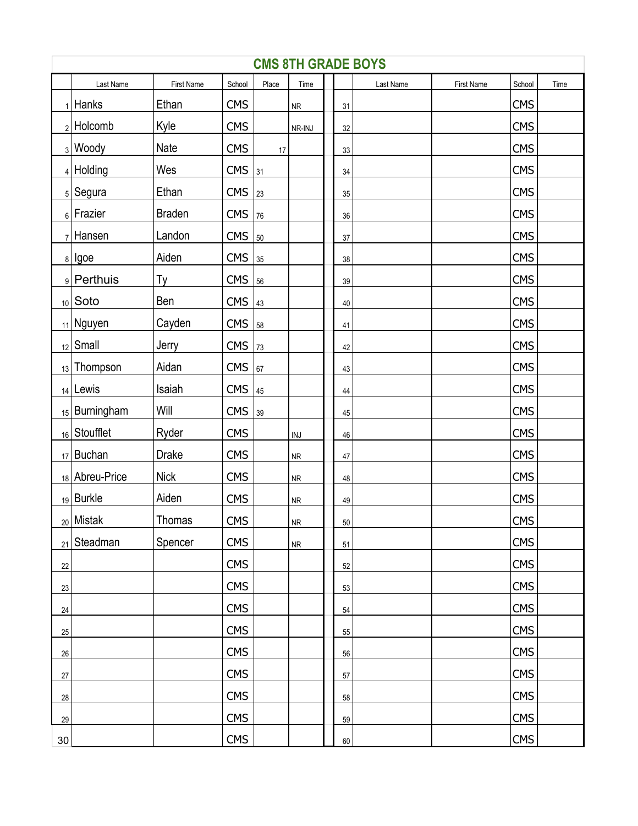|        | <b>CMS 8TH GRADE BOYS</b> |               |            |                |                |  |        |           |            |            |      |  |
|--------|---------------------------|---------------|------------|----------------|----------------|--|--------|-----------|------------|------------|------|--|
|        | Last Name                 | First Name    | School     | Place          | Time           |  |        | Last Name | First Name | School     | Time |  |
|        | $_1$   Hanks              | Ethan         | <b>CMS</b> |                | ${\sf NR}$     |  | 31     |           |            | <b>CMS</b> |      |  |
|        | $2$ Holcomb               | Kyle          | <b>CMS</b> |                | NR-INJ         |  | $32\,$ |           |            | <b>CMS</b> |      |  |
|        | 3 Woody                   | Nate          | <b>CMS</b> | $17\,$         |                |  | 33     |           |            | <b>CMS</b> |      |  |
|        | $4$ Holding               | Wes           | <b>CMS</b> | 31             |                |  | $34\,$ |           |            | <b>CMS</b> |      |  |
|        | 5 Segura                  | Ethan         | <b>CMS</b> | 23             |                |  | $35\,$ |           |            | <b>CMS</b> |      |  |
|        | $_6$   Frazier            | <b>Braden</b> | <b>CMS</b> | 76             |                |  | 36     |           |            | <b>CMS</b> |      |  |
|        | $7$ Hansen                | Landon        | <b>CMS</b> | $\frac{50}{3}$ |                |  | $37\,$ |           |            | <b>CMS</b> |      |  |
|        | $8$   Igoe                | Aiden         | <b>CMS</b> | 35             |                |  | 38     |           |            | <b>CMS</b> |      |  |
|        | <sub>9</sub> Perthuis     | Тy            | <b>CMS</b> | 56             |                |  | 39     |           |            | <b>CMS</b> |      |  |
|        | $_{10}$ Soto              | Ben           | <b>CMS</b> | 43             |                |  | $40\,$ |           |            | <b>CMS</b> |      |  |
|        | 11 Nguyen                 | Cayden        | <b>CMS</b> | 58             |                |  | 41     |           |            | <b>CMS</b> |      |  |
|        | $_{12}$ Small             | Jerry         | <b>CMS</b> | 73             |                |  | 42     |           |            | <b>CMS</b> |      |  |
|        | 13 Thompson               | Aidan         | <b>CMS</b> | 67             |                |  | 43     |           |            | <b>CMS</b> |      |  |
|        | 14   Lewis                | Isaiah        | <b>CMS</b> | 45             |                |  | 44     |           |            | <b>CMS</b> |      |  |
|        | $_{15}$ Burningham        | Will          | <b>CMS</b> | 39             |                |  | 45     |           |            | <b>CMS</b> |      |  |
|        | 16 Stoufflet              | Ryder         | <b>CMS</b> |                | $\textsf{INJ}$ |  | 46     |           |            | <b>CMS</b> |      |  |
|        | $17$ Buchan               | <b>Drake</b>  | <b>CMS</b> |                | ${\sf NR}$     |  | 47     |           |            | <b>CMS</b> |      |  |
|        | 18 Abreu-Price            | <b>Nick</b>   | <b>CMS</b> |                | ${\sf NR}$     |  | 48     |           |            | <b>CMS</b> |      |  |
|        | 19 Burkle                 | Aiden         | <b>CMS</b> |                | ${\sf NR}$     |  | 49     |           |            | <b>CMS</b> |      |  |
|        | <sub>20</sub> Mistak      | Thomas        | <b>CMS</b> |                | ${\sf NR}$     |  | 50     |           |            | <b>CMS</b> |      |  |
|        | 21 Steadman               | Spencer       | <b>CMS</b> |                | ${\sf NR}$     |  | 51     |           |            | <b>CMS</b> |      |  |
| 22     |                           |               | <b>CMS</b> |                |                |  | 52     |           |            | <b>CMS</b> |      |  |
| 23     |                           |               | <b>CMS</b> |                |                |  | 53     |           |            | <b>CMS</b> |      |  |
| 24     |                           |               | <b>CMS</b> |                |                |  | 54     |           |            | <b>CMS</b> |      |  |
| 25     |                           |               | <b>CMS</b> |                |                |  | 55     |           |            | <b>CMS</b> |      |  |
| $26\,$ |                           |               | <b>CMS</b> |                |                |  | 56     |           |            | <b>CMS</b> |      |  |
| 27     |                           |               | <b>CMS</b> |                |                |  | 57     |           |            | <b>CMS</b> |      |  |
| 28     |                           |               | <b>CMS</b> |                |                |  | 58     |           |            | <b>CMS</b> |      |  |
| 29     |                           |               | <b>CMS</b> |                |                |  | 59     |           |            | <b>CMS</b> |      |  |
| 30     |                           |               | <b>CMS</b> |                |                |  | 60     |           |            | <b>CMS</b> |      |  |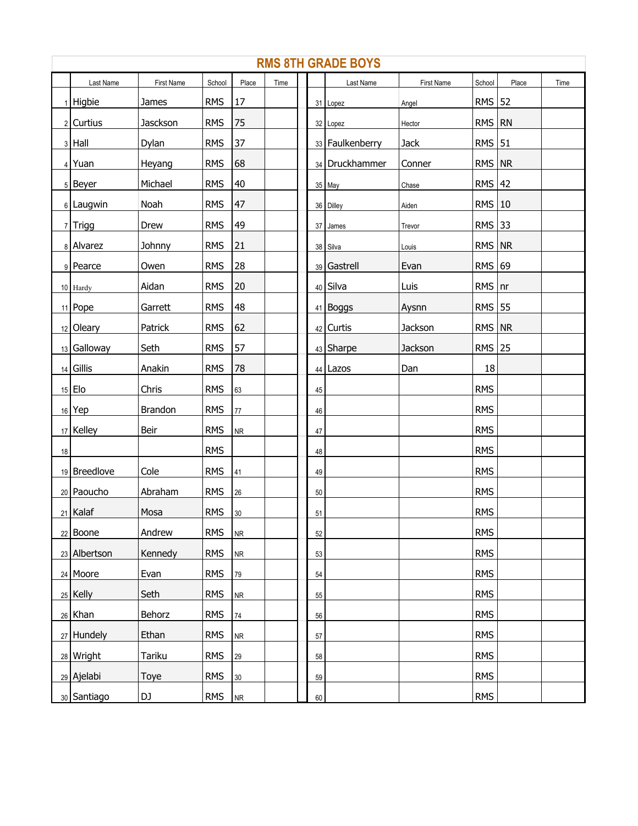|    | <b>RMS 8TH GRADE BOYS</b> |                |            |            |      |  |        |                 |            |            |       |      |  |  |
|----|---------------------------|----------------|------------|------------|------|--|--------|-----------------|------------|------------|-------|------|--|--|
|    | Last Name                 | First Name     | School     | Place      | Time |  |        | Last Name       | First Name | School     | Place | Time |  |  |
|    | $1$ Higbie                | James          | <b>RMS</b> | 17         |      |  |        | 31 Lopez        | Angel      | RMS 52     |       |      |  |  |
|    | $2$ Curtius               | Jasckson       | <b>RMS</b> | 75         |      |  |        | 32 Lopez        | Hector     | RMS RN     |       |      |  |  |
|    | $3$ Hall                  | Dylan          | <b>RMS</b> | 37         |      |  |        | 33 Faulkenberry | Jack       | $RMS$   51 |       |      |  |  |
|    | $4$ Yuan                  | Heyang         | <b>RMS</b> | 68         |      |  |        | 34 Druckhammer  | Conner     | $RMS$ $NR$ |       |      |  |  |
|    | 5 Beyer                   | Michael        | <b>RMS</b> | 40         |      |  |        | 35 May          | Chase      | $RMS$ 42   |       |      |  |  |
|    | 6 Laugwin                 | Noah           | <b>RMS</b> | 47         |      |  |        | 36 Dilley       | Aiden      | $RMS$   10 |       |      |  |  |
|    | $7$ Trigg                 | Drew           | <b>RMS</b> | 49         |      |  |        | 37 James        | Trevor     | $RMS$ 33   |       |      |  |  |
|    | 8 Alvarez                 | Johnny         | <b>RMS</b> | 21         |      |  |        | 38 Silva        | Louis      | RMS NR     |       |      |  |  |
|    | 9 Pearce                  | Owen           | <b>RMS</b> | 28         |      |  |        | 39 Gastrell     | Evan       | $RMS$ 69   |       |      |  |  |
|    | $10$ Hardy                | Aidan          | <b>RMS</b> | 20         |      |  |        | 40 Silva        | Luis       | $RMS$ nr   |       |      |  |  |
|    | $11$ Pope                 | Garrett        | <b>RMS</b> | 48         |      |  |        | 41 Boggs        | Aysnn      | RMS 55     |       |      |  |  |
|    | $12$ Oleary               | Patrick        | <b>RMS</b> | 62         |      |  |        | 42 Curtis       | Jackson    | $RMS$ $NR$ |       |      |  |  |
|    | 13 Galloway               | Seth           | <b>RMS</b> | 57         |      |  |        | 43 Sharpe       | Jackson    | $RMS$ 25   |       |      |  |  |
|    | $14$ Gillis               | Anakin         | <b>RMS</b> | 78         |      |  |        | 44 Lazos        | Dan        | 18         |       |      |  |  |
|    | $15$ Elo                  | Chris          | <b>RMS</b> | 63         |      |  | 45     |                 |            | <b>RMS</b> |       |      |  |  |
|    | 16 Yep                    | <b>Brandon</b> | <b>RMS</b> | $77\,$     |      |  | 46     |                 |            | <b>RMS</b> |       |      |  |  |
|    | $17$ Kelley               | Beir           | <b>RMS</b> | <b>NR</b>  |      |  | 47     |                 |            | <b>RMS</b> |       |      |  |  |
| 18 |                           |                | <b>RMS</b> |            |      |  | 48     |                 |            | <b>RMS</b> |       |      |  |  |
|    | 19 Breedlove              | Cole           | <b>RMS</b> | 41         |      |  | 49     |                 |            | <b>RMS</b> |       |      |  |  |
|    | 20 Paoucho                | Abraham        | <b>RMS</b> | $26\,$     |      |  | 50     |                 |            | <b>RMS</b> |       |      |  |  |
|    | $21$ Kalaf                | Mosa           | <b>RMS</b> | $30\,$     |      |  | 51     |                 |            | <b>RMS</b> |       |      |  |  |
|    | $22$ Boone                | Andrew         | <b>RMS</b> | <b>NR</b>  |      |  | 52     |                 |            | <b>RMS</b> |       |      |  |  |
|    | 23 Albertson              | Kennedy        | <b>RMS</b> | <b>NR</b>  |      |  | 53     |                 |            | <b>RMS</b> |       |      |  |  |
|    | $24$ Moore                | Evan           | <b>RMS</b> | 79         |      |  | 54     |                 |            | <b>RMS</b> |       |      |  |  |
|    | $25$ Kelly                | Seth           | <b>RMS</b> | ${\sf NR}$ |      |  | 55     |                 |            | <b>RMS</b> |       |      |  |  |
|    | $26$ Khan                 | Behorz         | <b>RMS</b> | $74\,$     |      |  | 56     |                 |            | <b>RMS</b> |       |      |  |  |
|    | $27$ Hundely              | Ethan          | <b>RMS</b> | <b>NR</b>  |      |  | 57     |                 |            | <b>RMS</b> |       |      |  |  |
|    | $28$ Wright               | Tariku         | <b>RMS</b> | 29         |      |  | 58     |                 |            | <b>RMS</b> |       |      |  |  |
|    | $29$ Ajelabi              | Toye           | <b>RMS</b> | 30         |      |  | 59     |                 |            | <b>RMS</b> |       |      |  |  |
|    | 30 Santiago               | DJ             | <b>RMS</b> | ${\sf NR}$ |      |  | $60\,$ |                 |            | <b>RMS</b> |       |      |  |  |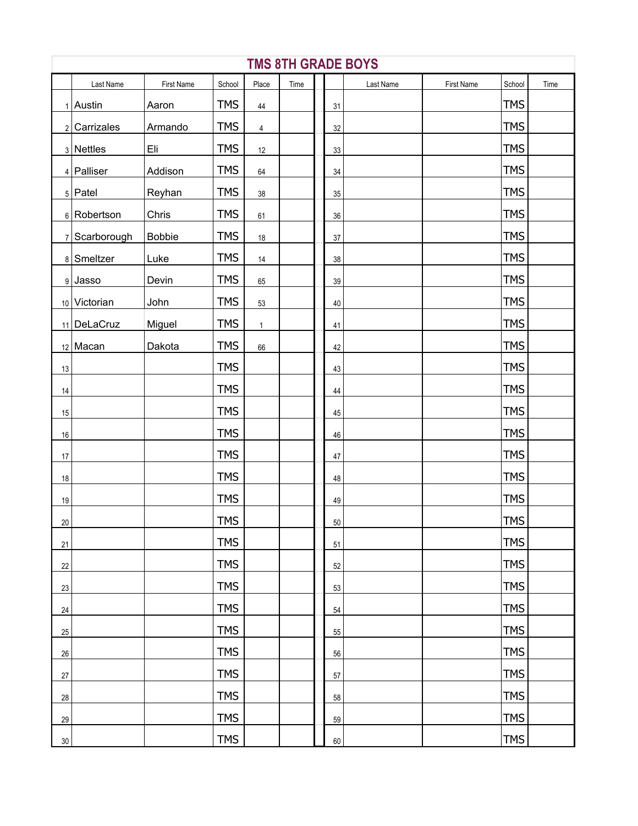|        | <b>TMS 8TH GRADE BOYS</b> |               |            |                |      |        |           |            |            |      |  |  |  |
|--------|---------------------------|---------------|------------|----------------|------|--------|-----------|------------|------------|------|--|--|--|
|        | Last Name                 | First Name    | School     | Place          | Time |        | Last Name | First Name | School     | Time |  |  |  |
|        | $1$ Austin                | Aaron         | <b>TMS</b> | $44\,$         |      | 31     |           |            | <b>TMS</b> |      |  |  |  |
|        | $2$ Carrizales            | Armando       | <b>TMS</b> | $\overline{4}$ |      | 32     |           |            | <b>TMS</b> |      |  |  |  |
|        | $3$ Nettles               | Eli           | <b>TMS</b> | 12             |      | $33\,$ |           |            | <b>TMS</b> |      |  |  |  |
|        | $4$ Palliser              | Addison       | <b>TMS</b> | 64             |      | 34     |           |            | <b>TMS</b> |      |  |  |  |
|        | $5$ Patel                 | Reyhan        | <b>TMS</b> | $38\,$         |      | 35     |           |            | <b>TMS</b> |      |  |  |  |
|        | $6$ Robertson             | Chris         | <b>TMS</b> | 61             |      | 36     |           |            | <b>TMS</b> |      |  |  |  |
|        | 7 Scarborough             | <b>Bobbie</b> | <b>TMS</b> | $18\,$         |      | 37     |           |            | <b>TMS</b> |      |  |  |  |
|        | 8 Smeltzer                | Luke          | <b>TMS</b> | $14$           |      | 38     |           |            | <b>TMS</b> |      |  |  |  |
|        | 9 Jasso                   | Devin         | <b>TMS</b> | 65             |      | 39     |           |            | <b>TMS</b> |      |  |  |  |
|        | 10 Victorian              | John          | <b>TMS</b> | 53             |      | 40     |           |            | <b>TMS</b> |      |  |  |  |
|        | 11 DeLaCruz               | Miguel        | <b>TMS</b> | $\mathbf{1}$   |      | 41     |           |            | <b>TMS</b> |      |  |  |  |
|        | $12$ Macan                | Dakota        | <b>TMS</b> | 66             |      | 42     |           |            | <b>TMS</b> |      |  |  |  |
| 13     |                           |               | <b>TMS</b> |                |      | 43     |           |            | <b>TMS</b> |      |  |  |  |
| 14     |                           |               | <b>TMS</b> |                |      | $44\,$ |           |            | <b>TMS</b> |      |  |  |  |
| 15     |                           |               | <b>TMS</b> |                |      | 45     |           |            | <b>TMS</b> |      |  |  |  |
| $16\,$ |                           |               | <b>TMS</b> |                |      | 46     |           |            | <b>TMS</b> |      |  |  |  |
| $17\,$ |                           |               | <b>TMS</b> |                |      | 47     |           |            | <b>TMS</b> |      |  |  |  |
| $18\,$ |                           |               | <b>TMS</b> |                |      | 48     |           |            | <b>TMS</b> |      |  |  |  |
| $19$   |                           |               | <b>TMS</b> |                |      | 49     |           |            | <b>TMS</b> |      |  |  |  |
| 20     |                           |               | <b>TMS</b> |                |      | $50\,$ |           |            | <b>TMS</b> |      |  |  |  |
| 21     |                           |               | <b>TMS</b> |                |      | 51     |           |            | <b>TMS</b> |      |  |  |  |
| 22     |                           |               | <b>TMS</b> |                |      | 52     |           |            | <b>TMS</b> |      |  |  |  |
| 23     |                           |               | <b>TMS</b> |                |      | 53     |           |            | <b>TMS</b> |      |  |  |  |
| 24     |                           |               | <b>TMS</b> |                |      | 54     |           |            | <b>TMS</b> |      |  |  |  |
| $25\,$ |                           |               | <b>TMS</b> |                |      | 55     |           |            | <b>TMS</b> |      |  |  |  |
| 26     |                           |               | <b>TMS</b> |                |      | 56     |           |            | <b>TMS</b> |      |  |  |  |
| $27\,$ |                           |               | <b>TMS</b> |                |      | 57     |           |            | <b>TMS</b> |      |  |  |  |
| 28     |                           |               | <b>TMS</b> |                |      | 58     |           |            | <b>TMS</b> |      |  |  |  |
| 29     |                           |               | <b>TMS</b> |                |      | 59     |           |            | <b>TMS</b> |      |  |  |  |
| $30\,$ |                           |               | <b>TMS</b> |                |      | 60     |           |            | <b>TMS</b> |      |  |  |  |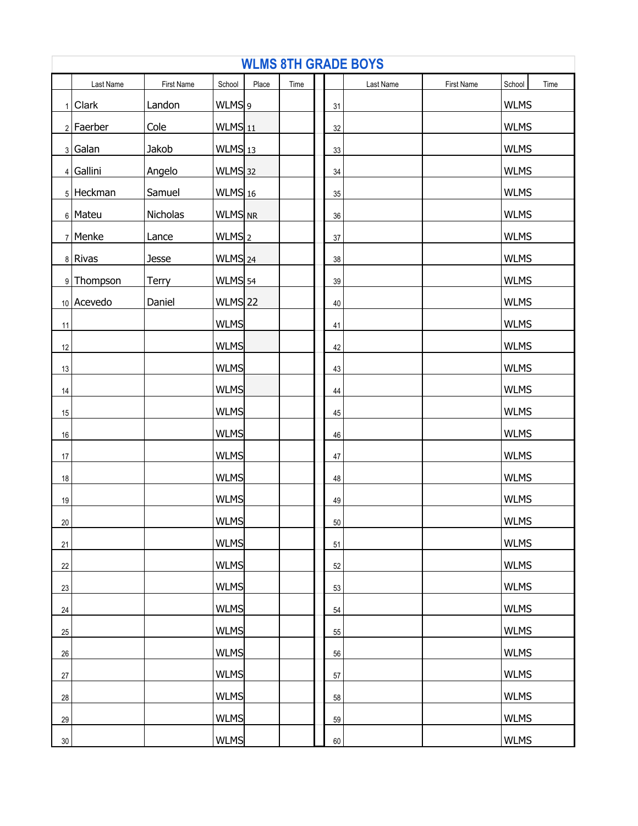| <b>WLMS 8TH GRADE BOYS</b> |             |              |                      |       |      |  |    |           |            |             |      |
|----------------------------|-------------|--------------|----------------------|-------|------|--|----|-----------|------------|-------------|------|
|                            | Last Name   | First Name   | School               | Place | Time |  |    | Last Name | First Name | School      | Time |
|                            | $1$ Clark   | Landon       | WLMS <sub>9</sub>    |       |      |  | 31 |           |            | <b>WLMS</b> |      |
|                            | $2$ Faerber | Cole         | $WLMS$ 11            |       |      |  | 32 |           |            | <b>WLMS</b> |      |
|                            | $3 $ Galan  | Jakob        | $WLMS$ 13            |       |      |  | 33 |           |            | <b>WLMS</b> |      |
|                            | $4$ Gallini | Angelo       | $WLMS$ 32            |       |      |  | 34 |           |            | <b>WLMS</b> |      |
|                            | 5 Heckman   | Samuel       | $WLMS$ 16            |       |      |  | 35 |           |            | <b>WLMS</b> |      |
|                            | 6 Mateu     | Nicholas     | WLMS NR              |       |      |  | 36 |           |            | <b>WLMS</b> |      |
|                            | $7$ Menke   | Lance        | $WLMS$ <sub>2</sub>  |       |      |  | 37 |           |            | <b>WLMS</b> |      |
|                            | 8 Rivas     | Jesse        | $WLMS$ <sub>24</sub> |       |      |  | 38 |           |            | <b>WLMS</b> |      |
|                            | 9 Thompson  | <b>Terry</b> | WLMS 54              |       |      |  | 39 |           |            | <b>WLMS</b> |      |
|                            | 10 Acevedo  | Daniel       | WLMS 22              |       |      |  | 40 |           |            | <b>WLMS</b> |      |
| 11                         |             |              | <b>WLMS</b>          |       |      |  | 41 |           |            | <b>WLMS</b> |      |
| 12                         |             |              | <b>WLMS</b>          |       |      |  | 42 |           |            | <b>WLMS</b> |      |
| 13                         |             |              | <b>WLMS</b>          |       |      |  | 43 |           |            | <b>WLMS</b> |      |
| $14$                       |             |              | <b>WLMS</b>          |       |      |  | 44 |           |            | <b>WLMS</b> |      |
| 15                         |             |              | <b>WLMS</b>          |       |      |  | 45 |           |            | <b>WLMS</b> |      |
| $16\,$                     |             |              | <b>WLMS</b>          |       |      |  | 46 |           |            | <b>WLMS</b> |      |
| $17\,$                     |             |              | <b>WLMS</b>          |       |      |  | 47 |           |            | <b>WLMS</b> |      |
| $18\,$                     |             |              | <b>WLMS</b>          |       |      |  | 48 |           |            | <b>WLMS</b> |      |
| $19$                       |             |              | <b>WLMS</b>          |       |      |  | 49 |           |            | <b>WLMS</b> |      |
| $20\,$                     |             |              | <b>WLMS</b>          |       |      |  | 50 |           |            | <b>WLMS</b> |      |
| 21                         |             |              | <b>WLMS</b>          |       |      |  | 51 |           |            | <b>WLMS</b> |      |
| 22                         |             |              | <b>WLMS</b>          |       |      |  | 52 |           |            | <b>WLMS</b> |      |
| 23                         |             |              | <b>WLMS</b>          |       |      |  | 53 |           |            | <b>WLMS</b> |      |
| 24                         |             |              | <b>WLMS</b>          |       |      |  | 54 |           |            | <b>WLMS</b> |      |
| 25                         |             |              | <b>WLMS</b>          |       |      |  | 55 |           |            | <b>WLMS</b> |      |
| $26\,$                     |             |              | <b>WLMS</b>          |       |      |  | 56 |           |            | <b>WLMS</b> |      |
| $27\,$                     |             |              | <b>WLMS</b>          |       |      |  | 57 |           |            | <b>WLMS</b> |      |
| 28                         |             |              | <b>WLMS</b>          |       |      |  | 58 |           |            | <b>WLMS</b> |      |
| 29                         |             |              | <b>WLMS</b>          |       |      |  | 59 |           |            | <b>WLMS</b> |      |
| $30\,$                     |             |              | WLMS                 |       |      |  | 60 |           |            | <b>WLMS</b> |      |